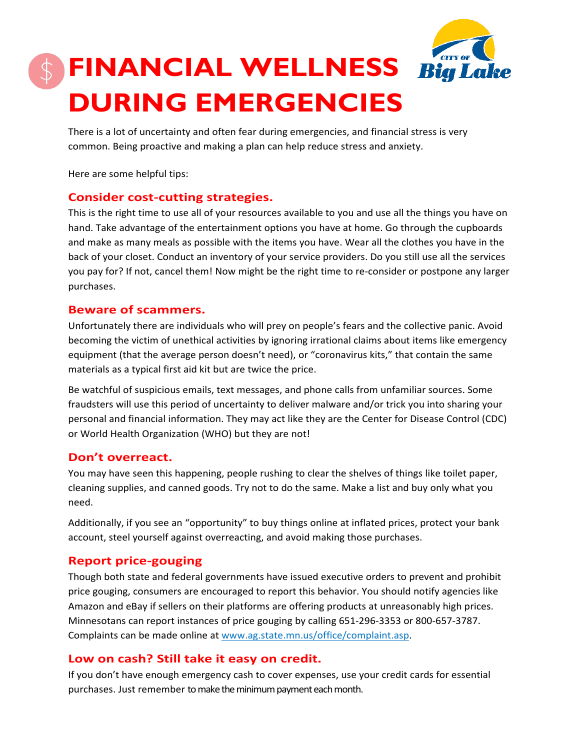

# **FINANCIAL WELLNESS DURING EMERGENCIES**

There is a lot of uncertainty and often fear during emergencies, and financial stress is very common. Being proactive and making a plan can help reduce stress and anxiety.

Here are some helpful tips:

## **Consider cost-cutting strategies.**

This is the right time to use all of your resources available to you and use all the things you have on hand. Take advantage of the entertainment options you have at home. Go through the cupboards and make as many meals as possible with the items you have. Wear all the clothes you have in the back of your closet. Conduct an inventory of your service providers. Do you still use all the services you pay for? If not, cancel them! Now might be the right time to re-consider or postpone any larger purchases.

#### **Beware of scammers.**

Unfortunately there are individuals who will prey on people's fears and the collective panic. Avoid becoming the victim of unethical activities by ignoring irrational claims about items like emergency equipment (that the average person doesn't need), or "coronavirus kits," that contain the same materials as a typical first aid kit but are twice the price.

Be watchful of suspicious emails, text messages, and phone calls from unfamiliar sources. Some fraudsters will use this period of uncertainty to deliver malware and/or trick you into sharing your personal and financial information. They may act like they are the Center for Disease Control (CDC) or World Health Organization (WHO) but they are not!

## **Don't overreact.**

You may have seen this happening, people rushing to clear the shelves of things like toilet paper, cleaning supplies, and canned goods. Try not to do the same. Make a list and buy only what you need.

Additionally, if you see an "opportunity" to buy things online at inflated prices, protect your bank account, steel yourself against overreacting, and avoid making those purchases.

## **Report price-gouging**

Though both state and federal governments have issued executive orders to prevent and prohibit price gouging, consumers are encouraged to report this behavior. You should notify agencies like Amazon and eBay if sellers on their platforms are offering products at unreasonably high prices. Minnesotans can report instances of price gouging by calling 651-296-3353 or 800-657-3787. Complaints can be made online at [www.ag.state.mn.us/office/complaint.asp.](http://www.ag.state.mn.us/office/complaint.asp)

## **Low on cash? Still take it easy on credit.**

If you don't have enough emergency cash to cover expenses, use your credit cards for essential purchases. Just remember to make the minimum payment each month.